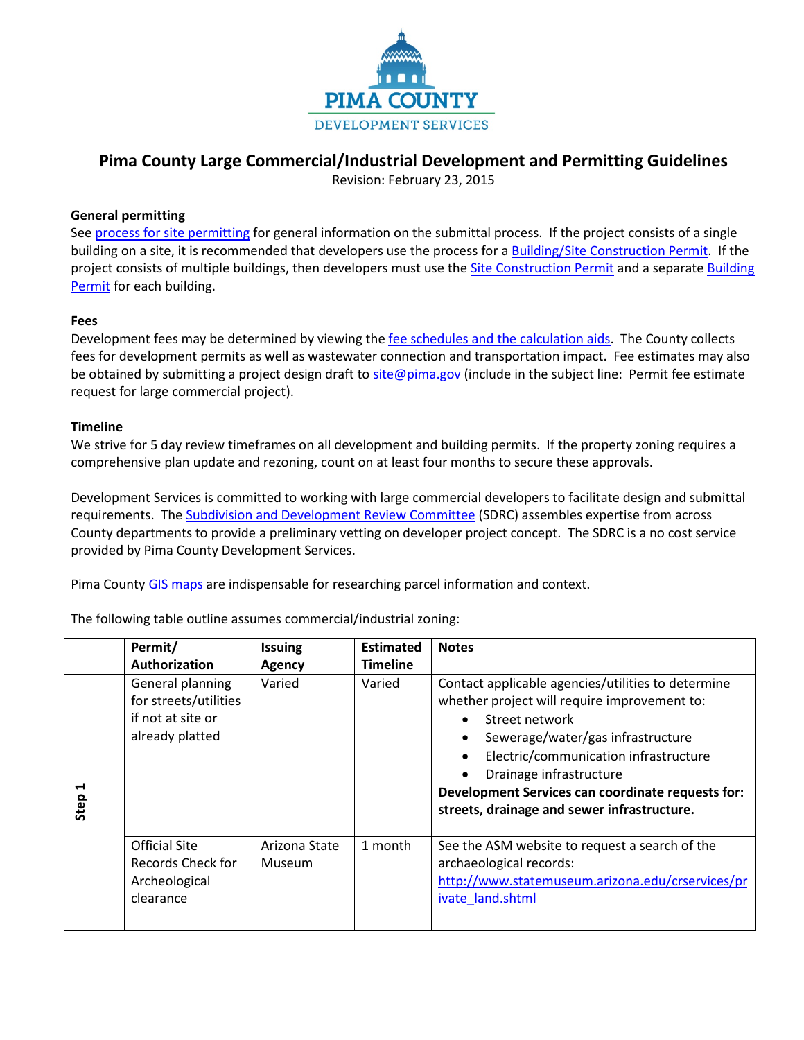

# **Pima County Large Commercial/Industrial Development and Permitting Guidelines**

Revision: February 23, 2015

## **General permitting**

Se[e process for site permitting](http://webcms.pima.gov/cms/One.aspx?portalId=169&pageId=62447) for general information on the submittal process. If the project consists of a single building on a site, it is recommended that developers use the process for [a Building/Site Construction Permit.](http://webcms.pima.gov/cms/One.aspx?portalId=169&pageId=62524) If the project consists of multiple buildings, then developers must use th[e Site Construction Permit](http://webcms.pima.gov/cms/One.aspx?portalId=169&pageId=62512) and a separat[e Building](http://webcms.pima.gov/cms/One.aspx?portalId=169&pageId=61986)  [Permit](http://webcms.pima.gov/cms/One.aspx?portalId=169&pageId=61986) for each building.

## **Fees**

Development fees may be determined by viewing the [fee schedules and the calculation aids.](http://webcms.pima.gov/cms/One.aspx?portalId=169&pageId=63408) The County collects fees for development permits as well as wastewater connection and transportation impact. Fee estimates may also be obtained by submitting a project design draft to [site@pima.gov](mailto:site@pima.gov) (include in the subject line: Permit fee estimate request for large commercial project).

## **Timeline**

We strive for 5 day review timeframes on all development and building permits. If the property zoning requires a comprehensive plan update and rezoning, count on at least four months to secure these approvals.

Development Services is committed to working with large commercial developers to facilitate design and submittal requirements. Th[e Subdivision and Development Review](http://webcms.pima.gov/cms/One.aspx?portalId=169&pageId=82273) Committee (SDRC) assembles expertise from across County departments to provide a preliminary vetting on developer project concept. The SDRC is a no cost service provided by Pima County Development Services.

Pima County [GIS maps](http://webcms.pima.gov/government/geographic_information_systems/gis_maps/) are indispensable for researching parcel information and context.

The following table outline assumes commercial/industrial zoning:

|           | Permit/                                                                           | <b>Issuing</b>                 | <b>Estimated</b> | <b>Notes</b>                                                                                                                                                                                                                                                                                                                                                |
|-----------|-----------------------------------------------------------------------------------|--------------------------------|------------------|-------------------------------------------------------------------------------------------------------------------------------------------------------------------------------------------------------------------------------------------------------------------------------------------------------------------------------------------------------------|
|           | Authorization                                                                     | <b>Agency</b>                  | <b>Timeline</b>  |                                                                                                                                                                                                                                                                                                                                                             |
| Н<br>Step | General planning<br>for streets/utilities<br>if not at site or<br>already platted | Varied                         | Varied           | Contact applicable agencies/utilities to determine<br>whether project will require improvement to:<br>Street network<br>Sewerage/water/gas infrastructure<br>$\bullet$<br>Electric/communication infrastructure<br>$\bullet$<br>Drainage infrastructure<br>Development Services can coordinate requests for:<br>streets, drainage and sewer infrastructure. |
|           | <b>Official Site</b><br>Records Check for<br>Archeological<br>clearance           | Arizona State<br><b>Museum</b> | 1 month          | See the ASM website to request a search of the<br>archaeological records:<br>http://www.statemuseum.arizona.edu/crservices/pr<br>ivate land.shtml                                                                                                                                                                                                           |